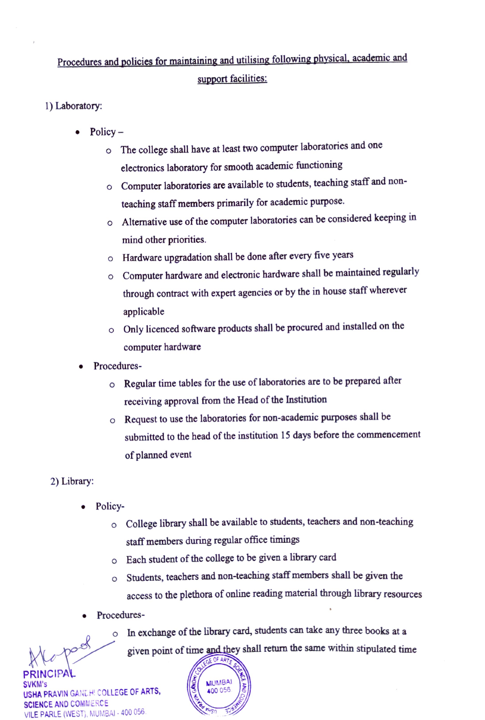## Procedures and policies for maintaining and utilising following physical, academic and support facilities:

- 1) Laboratory
	- - Policy –<br>  $\circ$  The college shall have at least two computer laboratories and one electronics laboratory for smooth academic functioning
			- o Computer laboratories are available to students, teaching staff and nonteaching staff members primarily for academic purpose.
			- o Alternative use of the computer laboratories can be considered keeping in mind other priorities.
			- o Hardware upgradation shall be done after every five years
			- o Computer hardware and electronic hardware shall be maintained regularly through contract with expert agencies or by the in house staff wherever applicable
			- o Only licenced software products shall be procured and installed on the computer hardware
		- .Procedures
			- o Regular time tables for the use of laboratories are to be prepared after receiving approval from the Head of the Institution
			- o Request to use the laboratories for non-academic purposes shall be submitted to the head of the institution 15 days before the commencement of planned event
	- 2) Library:
		- Policy
			- o College library shall be available to students, teachers and non-teaching staff members during regular office timings
			- o Each student of the college to be given a library card
			- o Students, teachers and non-teaching staff members shall be given the access to the plethora of online reading material through library resources
		- Procedures



PRINCIPAL SVKM's USHA PRAVIN GANL.H' COLLEGE OF ARTS, SCIENCE AND COMMERCE VILE PARLE (WEST), MUMBAI - 400 056

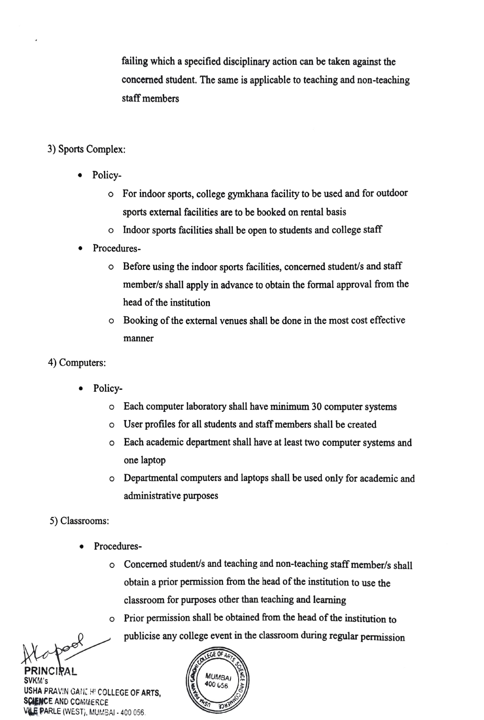failing which a specified disciplinary action can be taken against the concemed student. The same is applicable to teaching and non-teaching staff members

## 3) Sports Complex:

- Policy
	- o For indoor sports, college gymkhana facility to be used and for outdoor sports extermal facilities are to be booked on rental basis
	- o Indoor sports facilities shall be open to students and college staff
- Procedures
	- o Before using the indoor sports facilities, concerned student/s and staff member/s shall apply in advance to obtain the formal approval from the head of the institution
	- o Booking of the external venues shall be done in the most cost effective manner
- 4) Computers:
	- . Policy-
		- Each computer laboratory shall have minimum 30 computer systems
		- o User profiles for all students and staff members shall be created
		- o Each academic department shall have at least two computer systems and one laptop
		- o Departmental computers and laptops shall be used only for academic and administrative purposes
- 5) Classrooms:
	- Procedures
		- o Concerned student/s and teaching and non-teaching staff member/s shall obtain a prior permission from the head of the institution to use the classroom for purposes other than teaching and learming
		- o Prior permission shall be obtained from the head of the institution to publicise any college event in the classroom during regular permission

PRINCIRAL<br>svkm's

SVKM's  $\begin{bmatrix} 3 \\ 400 \\ 65 \end{bmatrix}$   $\begin{bmatrix} 3 \\ 400 \\ 656 \end{bmatrix}$ USHA PRAVIN GANE HI COLLEGE OF ARTS, ENCE AND COMMERCE VLE PARLE (WEST), MUMBAI - 400 056